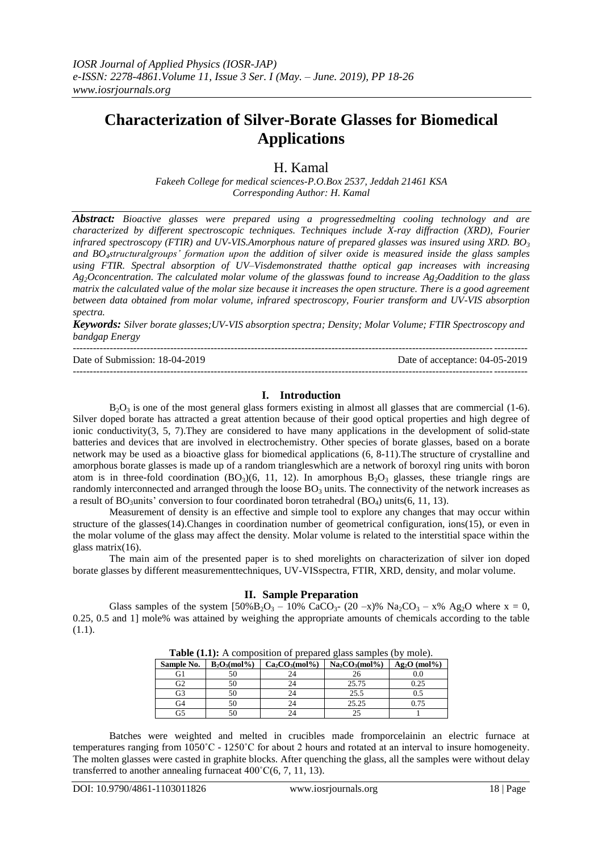# **Characterization of Silver-Borate Glasses for Biomedical Applications**

H. Kamal

*Fakeeh College for medical sciences-P.O.Box 2537, Jeddah 21461 KSA Corresponding Author: H. Kamal* 

*Abstract: Bioactive glasses were prepared using a progressedmelting cooling technology and are characterized by different spectroscopic techniques. Techniques include X-ray diffraction (XRD), Fourier infrared spectroscopy (FTIR) and UV-VIS.Amorphous nature of prepared glasses was insured using XRD. BO<sup>3</sup> and BO4structuralgroups' formation upon the addition of silver oxide is measured inside the glass samples using FTIR. Spectral absorption of UV–Visdemonstrated thatthe optical gap increases with increasing Ag2Oconcentration. The calculated molar volume of the glasswas found to increase Ag2Oaddition to the glass matrix the calculated value of the molar size because it increases the open structure. There is a good agreement between data obtained from molar volume, infrared spectroscopy, Fourier transform and UV-VIS absorption spectra.*

*Keywords: Silver borate glasses;UV-VIS absorption spectra; Density; Molar Volume; FTIR Spectroscopy and bandgap Energy*

--------------------------------------------------------------------------------------------------------------------------------------- Date of Submission: 18-04-2019 Date of acceptance: 04-05-2019 ---------------------------------------------------------------------------------------------------------------------------------------

# **I. Introduction**

 $B_2O_3$  is one of the most general glass formers existing in almost all glasses that are commercial [\(1-6\)](#page-8-0). Silver doped borate has attracted a great attention because of their good optical properties and high degree of ionic conductivity( $3, 5, 7$  $3, 5, 7$  $3, 5, 7$ ). They are considered to have many applications in the development of solid-state batteries and devices that are involved in electrochemistry. Other species of borate glasses, based on a borate network may be used as a bioactive glass for biomedical applications [\(6,](#page-8-4) [8-11\)](#page-8-5).The structure of crystalline and amorphous borate glasses is made up of a random triangleswhich are a network of boroxyl ring units with boron atom is in three-fold coordination  $(BO_3)(6, 11, 12)$  $(BO_3)(6, 11, 12)$  $(BO_3)(6, 11, 12)$  $(BO_3)(6, 11, 12)$  $(BO_3)(6, 11, 12)$  $(BO_3)(6, 11, 12)$ . In amorphous  $B_2O_3$  glasses, these triangle rings are randomly interconnected and arranged through the loose  $BO_3$  units. The connectivity of the network increases as a result of BO<sub>3</sub>units' conversion to four coordinated boron tetrahedral (BO<sub>4</sub>) units[\(6,](#page-8-4) [11,](#page-8-6) [13\)](#page-8-8).

Measurement of density is an effective and simple tool to explore any changes that may occur within structure of the glasses[\(14\)](#page-8-9).Changes in coordination number of geometrical configuration, ions[\(15\)](#page-8-10), or even in the molar volume of the glass may affect the density. Molar volume is related to the interstitial space within the glass matrix[\(16\)](#page-8-11).

The main aim of the presented paper is to shed morelights on characterization of silver ion doped borate glasses by different measurementtechniques, UV-VISspectra, FTIR, XRD, density, and molar volume.

#### **II. Sample Preparation**

Glass samples of the system  $[50\%B_2O_3 - 10\% \text{ CaCO}_{3}-(20-x)\% \text{ Na}_2CO_3 - x\% \text{ Ag}_2\text{O}$  where  $x = 0$ , 0.25, 0.5 and 1] mole% was attained by weighing the appropriate amounts of chemicals according to the table (1.1).

| <b>THOIC</b> (THERE IT COMPOSITION OF PLOPMERS THROP BRIDGED TO FINDLE). |                 |                   |                   |                |  |  |  |  |
|--------------------------------------------------------------------------|-----------------|-------------------|-------------------|----------------|--|--|--|--|
| Sample No.                                                               | $B_2O_3(mol\%)$ | $Ca_2CO_3(mol\%)$ | $Na_2CO_3(mol\%)$ | $Ag_2O$ (mol%) |  |  |  |  |
| G1                                                                       |                 |                   |                   | 0.0            |  |  |  |  |
| G2                                                                       |                 |                   | 25.75             | 0.25           |  |  |  |  |
| G3                                                                       |                 |                   | 25.5              |                |  |  |  |  |
| G4                                                                       |                 | 24                | 25.25             | 0.75           |  |  |  |  |
| G5                                                                       |                 |                   |                   |                |  |  |  |  |

**Table (1.1):** A composition of prepared glass samples (by mole).

Batches were weighted and melted in crucibles made fromporcelainin an electric furnace at temperatures ranging from 1050˚C - 1250˚C for about 2 hours and rotated at an interval to insure homogeneity. The molten glasses were casted in graphite blocks. After quenching the glass, all the samples were without delay transferred to another annealing furnaceat 400˚C[\(6,](#page-8-4) [7,](#page-8-3) [11,](#page-8-6) [13\)](#page-8-8).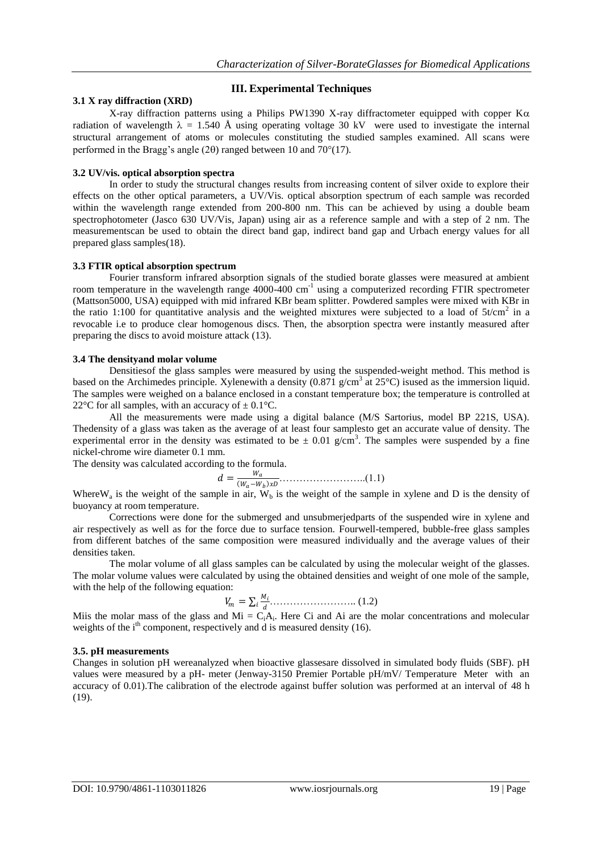# **III. Experimental Techniques**

# **3.1 X ray diffraction (XRD)**

X-ray diffraction patterns using a Philips PW1390 X-ray diffractometer equipped with copper  $K\alpha$ radiation of wavelength  $\lambda = 1.540$  Å using operating voltage 30 kV were used to investigate the internal structural arrangement of atoms or molecules constituting the studied samples examined. All scans were performed in the Bragg's angle (20) ranged between 10 and 70 $^{\circ}$ [\(17\)](#page-8-12).

#### **3.2 UV/vis. optical absorption spectra**

In order to study the structural changes results from increasing content of silver oxide to explore their effects on the other optical parameters, a UV/Vis. optical absorption spectrum of each sample was recorded within the wavelength range extended from 200-800 nm. This can be achieved by using a double beam spectrophotometer (Jasco 630 UV/Vis, Japan) using air as a reference sample and with a step of 2 nm. The measurementscan be used to obtain the direct band gap, indirect band gap and Urbach energy values for all prepared glass samples[\(18\)](#page-8-13).

#### **3.3 FTIR optical absorption spectrum**

Fourier transform infrared absorption signals of the studied borate glasses were measured at ambient room temperature in the wavelength range 4000-400 cm<sup>-1</sup> using a computerized recording FTIR spectrometer (Mattson5000, USA) equipped with mid infrared KBr beam splitter. Powdered samples were mixed with KBr in the ratio 1:100 for quantitative analysis and the weighted mixtures were subjected to a load of  $5t/cm^2$  in a revocable i.e to produce clear homogenous discs. Then, the absorption spectra were instantly measured after preparing the discs to avoid moisture attack [\(13\)](#page-8-8).

#### **3.4 The densityand molar volume**

Densitiesof the glass samples were measured by using the suspended-weight method. This method is based on the Archimedes principle. Xylenewith a density  $(0.871 \text{ g/cm}^3 \text{ at } 25^{\circ}\text{C})$  isused as the immersion liquid. The samples were weighed on a balance enclosed in a constant temperature box; the temperature is controlled at 22 $\rm{^{\circ}C}$  for all samples, with an accuracy of  $\pm$  0.1 $\rm{^{\circ}C}$ .

All the measurements were made using a digital balance (M/S Sartorius, model BP 221S, USA). Thedensity of a glass was taken as the average of at least four samplesto get an accurate value of density. The experimental error in the density was estimated to be  $\pm$  0.01 g/cm<sup>3</sup>. The samples were suspended by a fine nickel-chrome wire diameter 0.1 mm.

The density was calculated according to the formula.

 = − ……………………..(1.1)

Where  $W_a$  is the weight of the sample in air,  $W_b$  is the weight of the sample in xylene and D is the density of buoyancy at room temperature.

Corrections were done for the submerged and unsubmerjedparts of the suspended wire in xylene and air respectively as well as for the force due to surface tension. Fourwell-tempered, bubble-free glass samples from different batches of the same composition were measured individually and the average values of their densities taken.

The molar volume of all glass samples can be calculated by using the molecular weight of the glasses. The molar volume values were calculated by using the obtained densities and weight of one mole of the sample, with the help of the following equation:

 = …………………….. (1.2)

Miis the molar mass of the glass and Mi =  $C_iA_i$ . Here Ci and Ai are the molar concentrations and molecular weights of the  $i<sup>th</sup>$  component, respectively and d is measured density [\(16\)](#page-8-11).

#### **3.5. pH measurements**

Changes in solution pH wereanalyzed when bioactive glassesare dissolved in simulated body fluids (SBF). pH values were measured by a pH- meter (Jenway-3150 Premier Portable pH/mV/ Temperature Meter with an accuracy of 0.01).The calibration of the electrode against buffer solution was performed at an interval of 48 h [\(19\)](#page-8-14).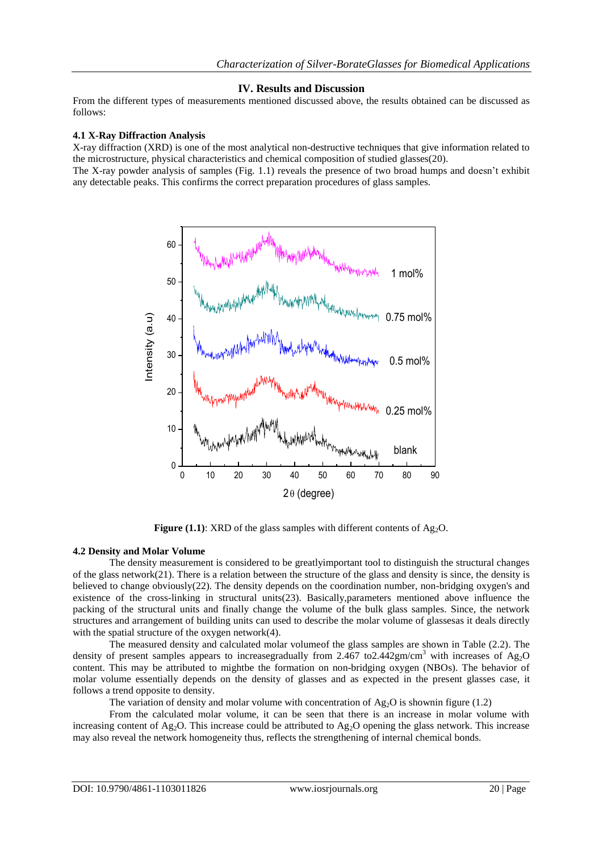# **IV. Results and Discussion**

From the different types of measurements mentioned discussed above, the results obtained can be discussed as follows:

### **4.1 X-Ray Diffraction Analysis**

X-ray diffraction (XRD) is one of the most analytical non-destructive techniques that give information related to the microstructure, physical characteristics and chemical composition of studied glasses[\(20\)](#page-8-15).

The X-ray powder analysis of samples (Fig. 1.1) reveals the presence of two broad humps and doesn't exhibit any detectable peaks. This confirms the correct preparation procedures of glass samples.



**Figure (1.1):** XRD of the glass samples with different contents of  $Ag<sub>2</sub>O$ .

# **4.2 Density and Molar Volume**

The density measurement is considered to be greatlyimportant tool to distinguish the structural changes of the glass network[\(21\)](#page-8-16). There is a relation between the structure of the glass and density is since, the density is believed to change obviously[\(22\)](#page-8-17). The density depends on the coordination number, non-bridging oxygen's and existence of the cross-linking in structural units[\(23\)](#page-8-18). Basically,parameters mentioned above influence the packing of the structural units and finally change the volume of the bulk glass samples. Since, the network structures and arrangement of building units can used to describe the molar volume of glassesas it deals directly with the spatial structure of the oxygen network[\(4\)](#page-8-19).

The measured density and calculated molar volumeof the glass samples are shown in Table (2.2). The density of present samples appears to increasegradually from 2.467 to 2.442gm/cm<sup>3</sup> with increases of Ag<sub>2</sub>O content. This may be attributed to mightbe the formation on non-bridging oxygen (NBOs). The behavior of molar volume essentially depends on the density of glasses and as expected in the present glasses case, it follows a trend opposite to density.

The variation of density and molar volume with concentration of  $Ag_2O$  is shownin figure (1.2)

From the calculated molar volume, it can be seen that there is an increase in molar volume with increasing content of Ag<sub>2</sub>O. This increase could be attributed to Ag<sub>2</sub>O opening the glass network. This increase may also reveal the network homogeneity thus, reflects the strengthening of internal chemical bonds.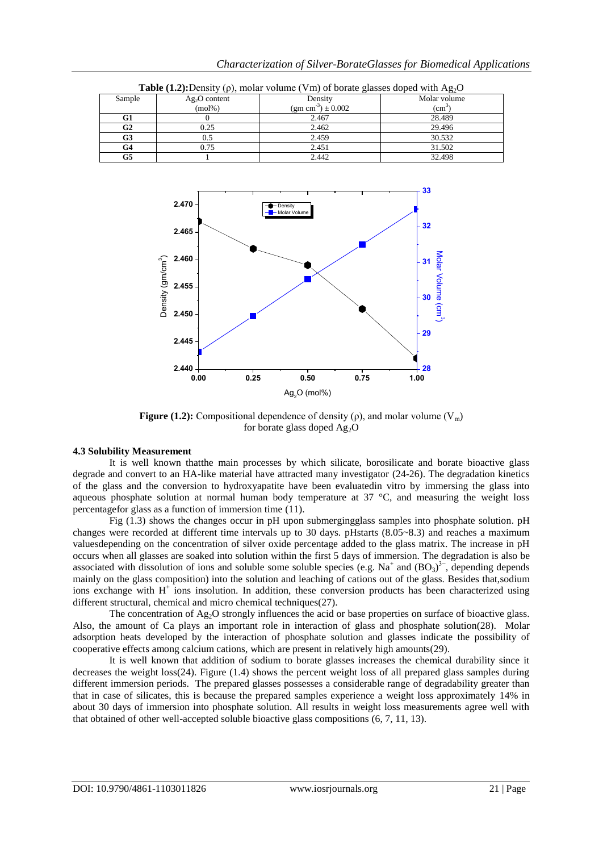| <b>Table</b> (1.2). Density (p), moial volume (yiii) of bolate glasses doped with $\iota_{15/2}$ |                |                                    |                 |  |  |  |
|--------------------------------------------------------------------------------------------------|----------------|------------------------------------|-----------------|--|--|--|
| Sample                                                                                           | $Ag2O$ content | Density                            | Molar volume    |  |  |  |
|                                                                                                  | $(mol\%)$      | (gm cm <sup>-3</sup> ) $\pm$ 0.002 | $\text{(cm}^3)$ |  |  |  |
| G1                                                                                               |                | 2.467                              | 28.489          |  |  |  |
| G2                                                                                               | 0.25           | 2.462                              | 29.496          |  |  |  |
| G3                                                                                               | 0.5            | 2.459                              | 30.532          |  |  |  |
| G4                                                                                               | 0.75           | 2.451                              | 31.502          |  |  |  |
| G5                                                                                               |                | 2.442                              | 32.498          |  |  |  |

**0.00 0.25 0.50 0.75 1.00 2.440 2.445 2.450 2.455 2.460** 3) **2.465 2.470**  $\overline{\phantom{a}}$ Molar Volume  $\frac{2.455}{2.455}$ <br>  $2.450$ <br>  $2.445$ <br>  $2.440$ <br>  $0.00$   $0.25$ <br>  $0.50$ <br>  $9.2$  (mol%) **28 29 30 31**<br> **30**<br> **30**<br> **30**<br> **31**<br> **31**<br> **31 32 33**  $(a<sub>1</sub>)$  $\sim$   $\sim$ 

**Table**  $(1.2)$ : Density  $(0)$ , molar volume  $(Vm)$  of borate glasses doped with  $Ag_2O$ 

**Figure (1.2):** Compositional dependence of density ( $\rho$ ), and molar volume ( $V_m$ ) for borate glass doped  $Ag<sub>2</sub>O$ 

#### **4.3 Solubility Measurement**

It is well known thatthe main processes by which silicate, borosilicate and borate bioactive glass degrade and convert to an HA-like material have attracted many investigator [\(24-26\)](#page-8-20). The degradation kinetics of the glass and the conversion to hydroxyapatite have been evaluatedin vitro by immersing the glass into aqueous phosphate solution at normal human body temperature at  $37 \degree C$ , and measuring the weight loss percentagefor glass as a function of immersion time [\(11\)](#page-8-6).

Fig (1.3) shows the changes occur in pH upon submergingglass samples into phosphate solution. pH changes were recorded at different time intervals up to 30 days. pHstarts (8.05~8.3) and reaches a maximum valuesdepending on the concentration of silver oxide percentage added to the glass matrix. The increase in pH occurs when all glasses are soaked into solution within the first 5 days of immersion. The degradation is also be associated with dissolution of ions and soluble some soluble species (e.g. Na<sup>+</sup> and  $(BO<sub>3</sub>)<sup>3-</sup>$ , depending depends mainly on the glass composition) into the solution and leaching of cations out of the glass. Besides that,sodium ions exchange with H<sup>+</sup> ions insolution. In addition, these conversion products has been characterized using different structural, chemical and micro chemical techniques[\(27\)](#page-8-21).

The concentration of Ag<sub>2</sub>O strongly influences the acid or base properties on surface of bioactive glass. Also, the amount of Ca plays an important role in interaction of glass and phosphate solution[\(28\)](#page-8-22). Molar adsorption heats developed by the interaction of phosphate solution and glasses indicate the possibility of cooperative effects among calcium cations, which are present in relatively high amounts[\(29\)](#page-8-23).

It is well known that addition of sodium to borate glasses increases the chemical durability since it decreases the weight loss[\(24\)](#page-8-20). Figure (1.4) shows the percent weight loss of all prepared glass samples during different immersion periods. The prepared glasses possesses a considerable range of degradability greater than that in case of silicates, this is because the prepared samples experience a weight loss approximately 14% in about 30 days of immersion into phosphate solution. All results in weight loss measurements agree well with that obtained of other well-accepted soluble bioactive glass compositions [\(6,](#page-8-4) [7,](#page-8-3) [11,](#page-8-6) [13\)](#page-8-8).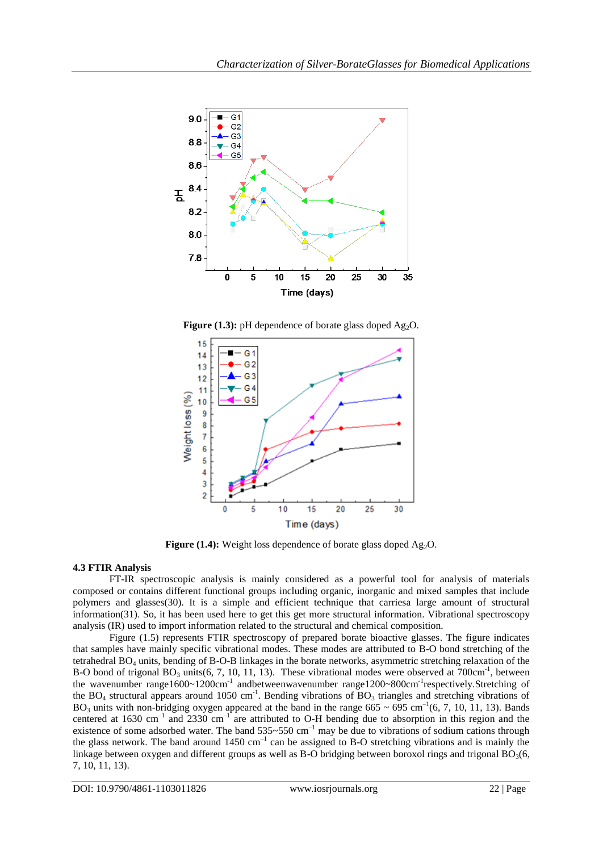

**Figure (1.3):** pH dependence of borate glass doped Ag<sub>2</sub>O.



**Figure (1.4):** Weight loss dependence of borate glass doped Ag<sub>2</sub>O.

# **4.3 FTIR Analysis**

FT-IR spectroscopic analysis is mainly considered as a powerful tool for analysis of materials composed or contains different functional groups including organic, inorganic and mixed samples that include polymers and glasses[\(30\)](#page-8-24). It is a simple and efficient technique that carriesa large amount of structural information[\(31\)](#page-8-25). So, it has been used here to get this get more structural information. Vibrational spectroscopy analysis (IR) used to import information related to the structural and chemical composition.

Figure (1.5) represents FTIR spectroscopy of prepared borate bioactive glasses. The figure indicates that samples have mainly specific vibrational modes. These modes are attributed to B-O bond stretching of the tetrahedral BO<sup>4</sup> units, bending of B-O-B linkages in the borate networks, asymmetric stretching relaxation of the B-O bond of trigonal  $BO_3$  units[\(6,](#page-8-4) [7,](#page-8-3) [10,](#page-8-26) [11,](#page-8-6) [13\)](#page-8-8). These vibrational modes were observed at  $700 \text{cm}^{-1}$ , between the wavenumber range1600~1200cm<sup>-1</sup> andbetweenwavenumber range1200~800cm<sup>-1</sup>respectively.Stretching of the BO<sub>4</sub> structural appears around 1050 cm<sup>-1</sup>. Bending vibrations of BO<sub>3</sub> triangles and stretching vibrations of BO<sub>3</sub> units with non-bridging oxygen appeared at the band in the range  $665 \sim 695$  cm<sup>-1</sup>[\(6,](#page-8-4) [7,](#page-8-3) [10,](#page-8-26) [11,](#page-8-6) [13\)](#page-8-8). Bands centered at 1630 cm<sup>-1</sup> and 2330 cm<sup>-1</sup> are attributed to O-H bending due to absorption in this region and the existence of some adsorbed water. The band  $535~550~cm^{-1}$  may be due to vibrations of sodium cations through the glass network. The band around  $1450 \text{ cm}^{-1}$  can be assigned to B-O stretching vibrations and is mainly the linkage between oxygen and different groups as well as B-O bridging between boroxol rings and trigonal  $BO<sub>3</sub>(6,$  $BO<sub>3</sub>(6,$ [7,](#page-8-3) [10,](#page-8-26) [11,](#page-8-6) [13\)](#page-8-8).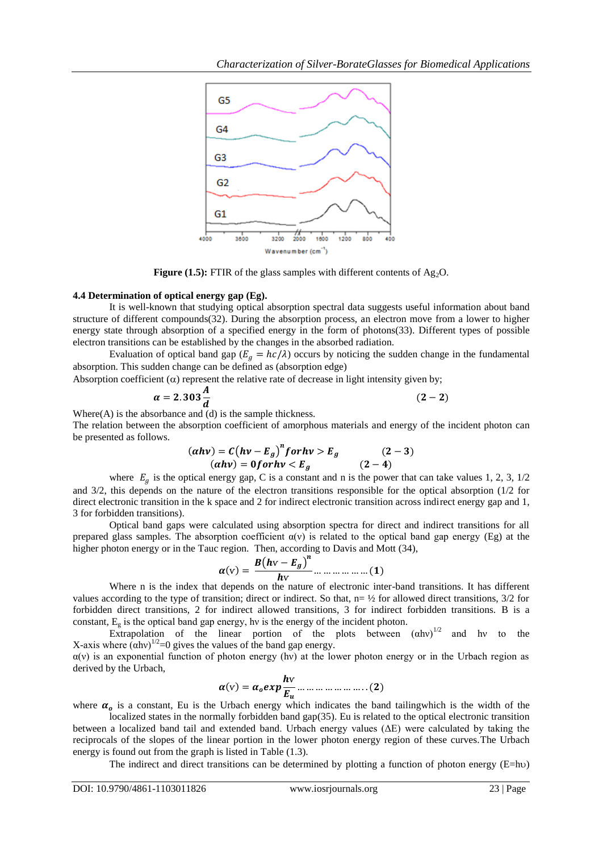

**Figure (1.5):** FTIR of the glass samples with different contents of  $Ag<sub>2</sub>O$ .

#### **4.4 Determination of optical energy gap (Eg).**

It is well-known that studying optical absorption spectral data suggests useful information about band structure of different compounds[\(32\)](#page-8-27). During the absorption process, an electron move from a lower to higher energy state through absorption of a specified energy in the form of photons[\(33\)](#page-8-28). Different types of possible electron transitions can be established by the changes in the absorbed radiation.

Evaluation of optical band gap ( $E_a = hc/\lambda$ ) occurs by noticing the sudden change in the fundamental absorption. This sudden change can be defined as (absorption edge)

Absorption coefficient  $(\alpha)$  represent the relative rate of decrease in light intensity given by;

$$
\alpha = 2.303 \frac{A}{d} \tag{2-2}
$$

Where $(A)$  is the absorbance and  $(d)$  is the sample thickness.

The relation between the absorption coefficient of amorphous materials and energy of the incident photon can be presented as follows.

$$
(ahv) = C(hv - E_g)^n for hv > E_g
$$
  
\n
$$
(ahv) = 0 for hv < E_g
$$
  
\n
$$
(2-4)
$$

where  $E<sub>g</sub>$  is the optical energy gap, C is a constant and n is the power that can take values 1, 2, 3, 1/2 and 3/2, this depends on the nature of the electron transitions responsible for the optical absorption (1/2 for direct electronic transition in the k space and 2 for indirect electronic transition across indirect energy gap and 1, 3 for forbidden transitions).

Optical band gaps were calculated using absorption spectra for direct and indirect transitions for all prepared glass samples. The absorption coefficient  $\alpha(v)$  is related to the optical band gap energy (Eg) at the higher photon energy or in the Tauc region. Then, according to Davis and Mott [\(34\)](#page-8-29),

$$
\alpha(\mathbf{v}) = \frac{B(h\mathbf{v} - \mathbf{E}_g)^n}{h\mathbf{v}} \dots \dots \dots \dots \dots \dots \dots (1)
$$

Where n is the index that depends on the nature of electronic inter-band transitions. It has different values according to the type of transition; direct or indirect. So that,  $n = \frac{1}{2}$  for allowed direct transitions,  $\frac{3}{2}$  for forbidden direct transitions, 2 for indirect allowed transitions, 3 for indirect forbidden transitions. B is a constant,  $E_{\varphi}$  is the optical band gap energy, hv is the energy of the incident photon.

Extrapolation of the linear portion of the plots between  $(ahv)^{1/2}$  and hy to the X-axis where  $(\alpha h v)^{1/2}$ =0 gives the values of the band gap energy.

 $\alpha$ (v) is an exponential function of photon energy (hv) at the lower photon energy or in the Urbach region as derived by the Urbach,

$$
\alpha(\mathbf{v}) = \alpha_0 exp \frac{h \mathbf{v}}{E_u} \dots \dots \dots \dots \dots \dots \dots \dots (2)
$$

where  $\alpha_o$  is a constant, Eu is the Urbach energy which indicates the band tailingwhich is the width of the localized states in the normally forbidden band gap[\(35\)](#page-8-30). Eu is related to the optical electronic transition

between a localized band tail and extended band. Urbach energy values (ΔE) were calculated by taking the reciprocals of the slopes of the linear portion in the lower photon energy region of these curves.The Urbach energy is found out from the graph is listed in Table (1.3).

The indirect and direct transitions can be determined by plotting a function of photon energy  $(E=h\nu)$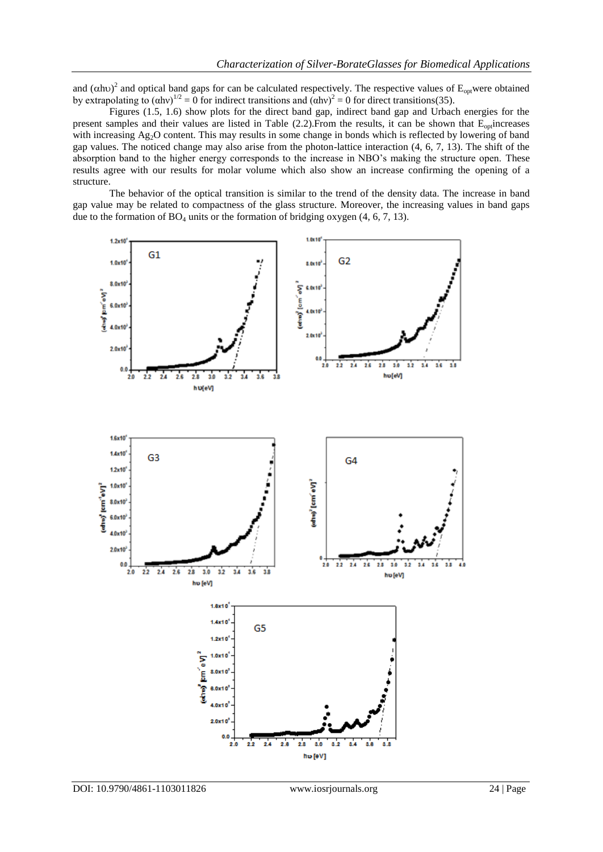and  $(\alpha$ h $)^2$  and optical band gaps for can be calculated respectively. The respective values of E<sub>opt</sub>were obtained by extrapolating to  $(\text{ahv})^{1/2} = 0$  for indirect transitions and  $(\text{ahv})^2 = 0$  for direct transitions[\(35\)](#page-8-30).

Figures (1.5, 1.6) show plots for the direct band gap, indirect band gap and Urbach energies for the present samples and their values are listed in Table (2.2). From the results, it can be shown that  $E_{\text{on}}$  increases with increasing Ag<sub>2</sub>O content. This may results in some change in bonds which is reflected by lowering of band gap values. The noticed change may also arise from the photon-lattice interaction [\(4,](#page-8-19) [6,](#page-8-4) [7,](#page-8-3) [13\)](#page-8-8). The shift of the absorption band to the higher energy corresponds to the increase in NBO's making the structure open. These results agree with our results for molar volume which also show an increase confirming the opening of a structure.

The behavior of the optical transition is similar to the trend of the density data. The increase in band gap value may be related to compactness of the glass structure. Moreover, the increasing values in band gaps due to the formation of  $BO_4$  units or the formation of bridging oxygen  $(4, 6, 7, 13)$  $(4, 6, 7, 13)$  $(4, 6, 7, 13)$  $(4, 6, 7, 13)$ .

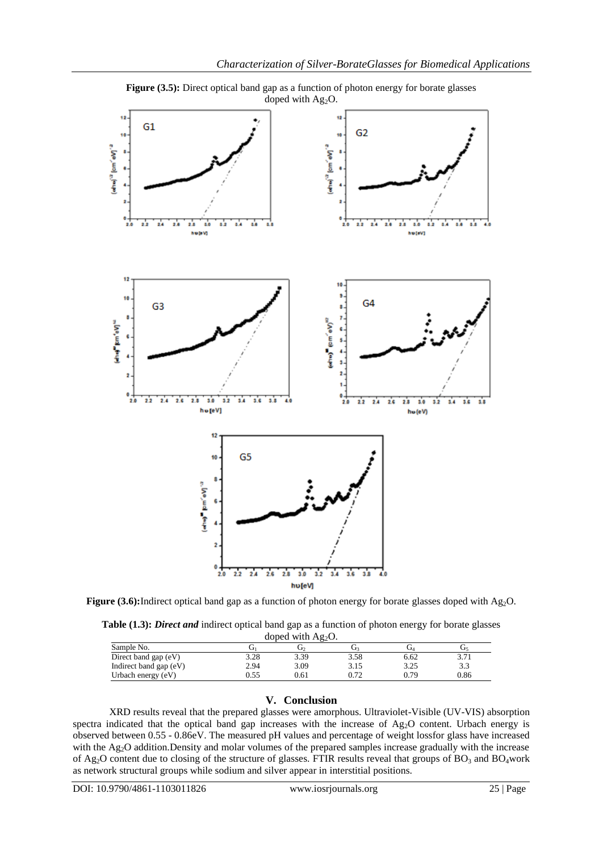



Figure (3.5): Direct optical band gap as a function of photon energy for borate glasses

**Figure (3.6):**Indirect optical band gap as a function of photon energy for borate glasses doped with Ag<sub>2</sub>O.

**Table (1.3):** *Direct and* indirect optical band gap as a function of photon energy for borate glasses

| doped with $Ag2O$ .    |      |      |      |      |      |  |  |  |  |
|------------------------|------|------|------|------|------|--|--|--|--|
| Sample No.             |      |      |      |      | Ū٢   |  |  |  |  |
| Direct band gap (eV)   | 3.28 | 3.39 | 3.58 | 6.62 | 3.71 |  |  |  |  |
| Indirect band gap (eV) | 2.94 | 3.09 | 3.15 | 3.25 | 3.3  |  |  |  |  |
| Urbach energy (eV)     | ).55 | 0.61 | 0.72 | 0.79 | 0.86 |  |  |  |  |

# **V. Conclusion**

XRD results reveal that the prepared glasses were amorphous. Ultraviolet-Visible (UV-VIS) absorption spectra indicated that the optical band gap increases with the increase of  $Ag<sub>2</sub>O$  content. Urbach energy is observed between 0.55 - 0.86eV. The measured pH values and percentage of weight lossfor glass have increased with the Ag<sub>2</sub>O addition.Density and molar volumes of the prepared samples increase gradually with the increase of Ag<sub>2</sub>O content due to closing of the structure of glasses. FTIR results reveal that groups of BO<sub>3</sub> and BO<sub>4</sub>work as network structural groups while sodium and silver appear in interstitial positions.